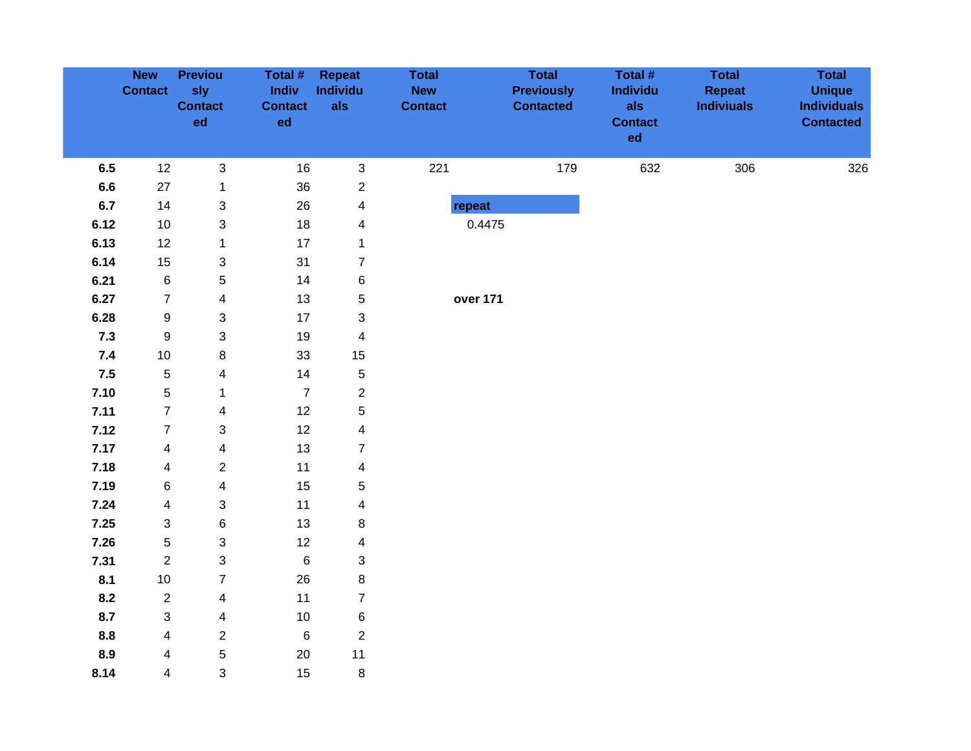|       | <b>New</b><br><b>Contact</b> | <b>Previou</b><br>sly<br><b>Contact</b><br>ed | Total #<br>Indiv<br><b>Contact</b><br>ed | Repeat<br>Individu<br>als | <b>Total</b><br><b>New</b><br><b>Contact</b> | <b>Total</b><br><b>Previously</b><br><b>Contacted</b> | Total #<br>Individu<br>als<br><b>Contact</b><br>ed | <b>Total</b><br><b>Repeat</b><br><b>Indiviuals</b> | <b>Total</b><br><b>Unique</b><br><b>Individuals</b><br><b>Contacted</b> |
|-------|------------------------------|-----------------------------------------------|------------------------------------------|---------------------------|----------------------------------------------|-------------------------------------------------------|----------------------------------------------------|----------------------------------------------------|-------------------------------------------------------------------------|
| 6.5   | 12                           | $\sqrt{3}$                                    | 16                                       | 3                         | 221                                          | 179                                                   | 632                                                | 306                                                | 326                                                                     |
| 6.6   | 27                           | $\mathbf 1$                                   | $36\,$                                   | $\overline{\mathbf{c}}$   |                                              |                                                       |                                                    |                                                    |                                                                         |
| 6.7   | 14                           | 3                                             | 26                                       | $\overline{\mathbf{4}}$   | repeat                                       |                                                       |                                                    |                                                    |                                                                         |
| 6.12  | 10                           | 3                                             | $18$                                     | 4                         | 0.4475                                       |                                                       |                                                    |                                                    |                                                                         |
| 6.13  | 12                           | $\mathbf{1}$                                  | 17                                       | $\mathbf{1}$              |                                              |                                                       |                                                    |                                                    |                                                                         |
| 6.14  | 15                           | 3                                             | 31                                       | $\overline{7}$            |                                              |                                                       |                                                    |                                                    |                                                                         |
| 6.21  | $\,6\,$                      | 5                                             | 14                                       | 6                         |                                              |                                                       |                                                    |                                                    |                                                                         |
| 6.27  | $\overline{7}$               | 4                                             | 13                                       | 5                         | over 171                                     |                                                       |                                                    |                                                    |                                                                         |
| 6.28  | $\boldsymbol{9}$             | 3                                             | 17                                       | 3                         |                                              |                                                       |                                                    |                                                    |                                                                         |
| $7.3$ | $\boldsymbol{9}$             | 3                                             | 19                                       | $\overline{\mathbf{4}}$   |                                              |                                                       |                                                    |                                                    |                                                                         |
| 7.4   | $10$                         | 8                                             | 33                                       | 15                        |                                              |                                                       |                                                    |                                                    |                                                                         |
| 7.5   | $\sqrt{5}$                   | 4                                             | 14                                       | 5                         |                                              |                                                       |                                                    |                                                    |                                                                         |
| 7.10  | $\sqrt{5}$                   | $\mathbf 1$                                   | $\boldsymbol{7}$                         | $\overline{2}$            |                                              |                                                       |                                                    |                                                    |                                                                         |
| 7.11  | $\boldsymbol{7}$             | $\overline{\mathbf{4}}$                       | 12                                       | 5                         |                                              |                                                       |                                                    |                                                    |                                                                         |
| 7.12  | $\overline{7}$               | 3                                             | 12                                       | $\overline{\mathbf{4}}$   |                                              |                                                       |                                                    |                                                    |                                                                         |
| 7.17  | $\overline{\mathbf{4}}$      | 4                                             | 13                                       | $\overline{7}$            |                                              |                                                       |                                                    |                                                    |                                                                         |
| 7.18  | $\overline{\mathbf{4}}$      | $\overline{c}$                                | 11                                       | 4                         |                                              |                                                       |                                                    |                                                    |                                                                         |
| 7.19  | 6                            | $\overline{\mathbf{4}}$                       | 15                                       | 5                         |                                              |                                                       |                                                    |                                                    |                                                                         |
| 7.24  | $\overline{\mathbf{4}}$      | 3                                             | 11                                       | $\overline{\mathbf{4}}$   |                                              |                                                       |                                                    |                                                    |                                                                         |
| 7.25  | 3                            | 6                                             | 13                                       | 8                         |                                              |                                                       |                                                    |                                                    |                                                                         |
| 7.26  | $\mathbf 5$                  | 3                                             | 12                                       | $\overline{\mathbf{4}}$   |                                              |                                                       |                                                    |                                                    |                                                                         |
| 7.31  | $\overline{2}$               | 3                                             | $\,6\,$                                  | 3                         |                                              |                                                       |                                                    |                                                    |                                                                         |
| 8.1   | 10                           | $\overline{7}$                                | 26                                       | 8                         |                                              |                                                       |                                                    |                                                    |                                                                         |
| 8.2   | $\overline{2}$               | $\overline{\mathbf{4}}$                       | 11                                       | $\overline{7}$            |                                              |                                                       |                                                    |                                                    |                                                                         |
| 8.7   | 3                            | $\overline{\mathbf{4}}$                       | $10$                                     | 6                         |                                              |                                                       |                                                    |                                                    |                                                                         |
| 8.8   | $\overline{\mathbf{4}}$      | $\overline{\mathbf{c}}$                       | $\,6$                                    | $\overline{c}$            |                                              |                                                       |                                                    |                                                    |                                                                         |
| 8.9   | 4                            | 5                                             | $20\,$                                   | 11                        |                                              |                                                       |                                                    |                                                    |                                                                         |
| 8.14  | $\overline{\mathbf{4}}$      | 3                                             | 15                                       | $\,8\,$                   |                                              |                                                       |                                                    |                                                    |                                                                         |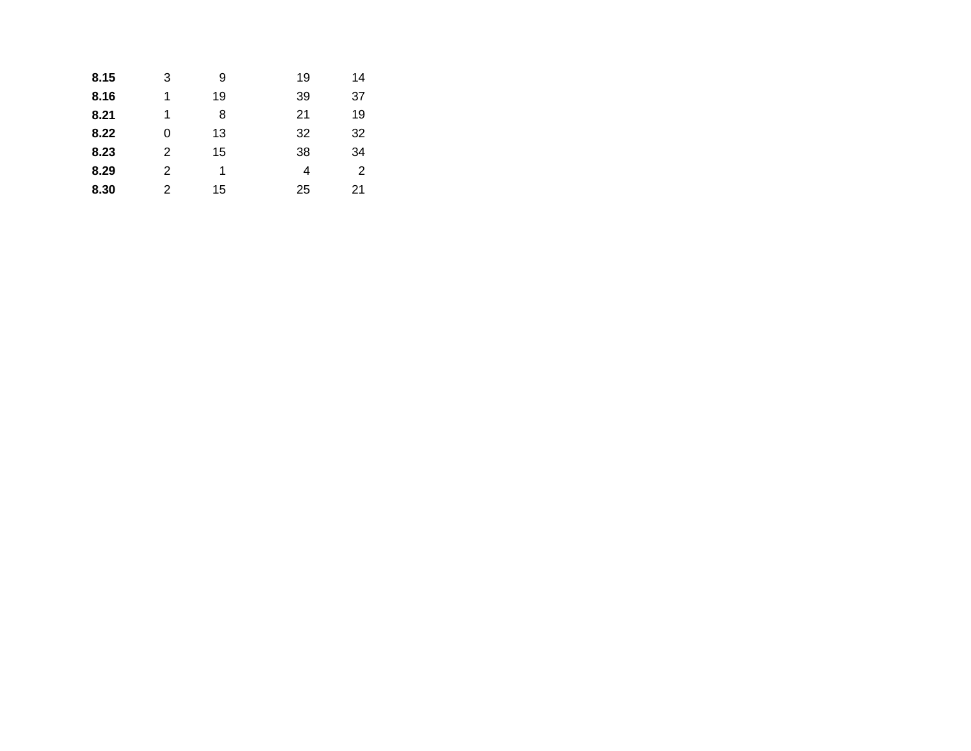| 8.15 | 3 | 9  | 19 | 14 |
|------|---|----|----|----|
| 8.16 | 1 | 19 | 39 | 37 |
| 8.21 | 1 | 8  | 21 | 19 |
| 8.22 | 0 | 13 | 32 | 32 |
| 8.23 | 2 | 15 | 38 | 34 |
| 8.29 | 2 | 1  | 4  | 2  |
| 8.30 | 2 | 15 | 25 | 21 |